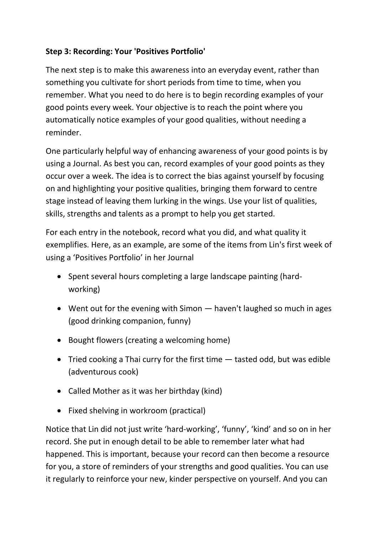## **Step 3: Recording: Your 'Positives Portfolio'**

The next step is to make this awareness into an everyday event, rather than something you cultivate for short periods from time to time, when you remember. What you need to do here is to begin recording examples of your good points every week. Your objective is to reach the point where you automatically notice examples of your good qualities, without needing a reminder.

One particularly helpful way of enhancing awareness of your good points is by using a Journal. As best you can, record examples of your good points as they occur over a week. The idea is to correct the bias against yourself by focusing on and highlighting your positive qualities, bringing them forward to centre stage instead of leaving them lurking in the wings. Use your list of qualities, skills, strengths and talents as a prompt to help you get started.

For each entry in the notebook, record what you did, and what quality it exemplifies. Here, as an example, are some of the items from Lin's first week of using a 'Positives Portfolio' in her Journal

- Spent several hours completing a large landscape painting (hardworking)
- Went out for the evening with Simon haven't laughed so much in ages (good drinking companion, funny)
- Bought flowers (creating a welcoming home)
- Tried cooking a Thai curry for the first time  $-$  tasted odd, but was edible (adventurous cook)
- Called Mother as it was her birthday (kind)
- Fixed shelving in workroom (practical)

Notice that Lin did not just write 'hard-working', 'funny', 'kind' and so on in her record. She put in enough detail to be able to remember later what had happened. This is important, because your record can then become a resource for you, a store of reminders of your strengths and good qualities. You can use it regularly to reinforce your new, kinder perspective on yourself. And you can